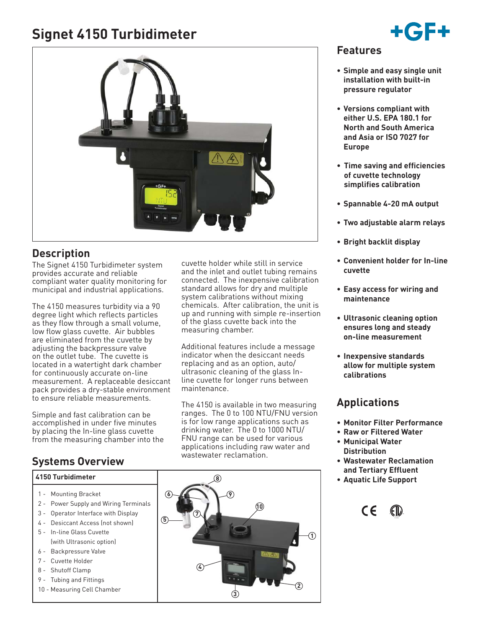# **Signet 4150 Turbidimeter**



## **Description**

The Signet 4150 Turbidimeter system provides accurate and reliable compliant water quality monitoring for municipal and industrial applications.

The 4150 measures turbidity via a 90 degree light which reflects particles as they flow through a small volume, low flow glass cuvette. Air bubbles are eliminated from the cuvette by adjusting the backpressure valve on the outlet tube. The cuvette is located in a watertight dark chamber for continuously accurate on-line measurement. A replaceable desiccant pack provides a dry-stable environment to ensure reliable measurements.

Simple and fast calibration can be accomplished in under five minutes by placing the In-line glass cuvette from the measuring chamber into the

## **Systems Overview**

#### **4150 Turbidimeter**

- 1 Mounting Bracket
- 2 Power Supply and Wiring Terminals
- 3 Operator Interface with Display
- 4 Desiccant Access (not shown)
- 5 In-line Glass Cuvette (with Ultrasonic option)
- 6 Backpressure Valve
- 7 Cuvette Holder
- 8 Shutoff Clamp
- 9 Tubing and Fittings
- 10 Measuring Cell Chamber

cuvette holder while still in service and the inlet and outlet tubing remains connected. The inexpensive calibration standard allows for dry and multiple system calibrations without mixing chemicals. After calibration, the unit is up and running with simple re-insertion of the glass cuvette back into the measuring chamber.

Additional features include a message indicator when the desiccant needs replacing and as an option, auto/ ultrasonic cleaning of the glass Inline cuvette for longer runs between maintenance.

The 4150 is available in two measuring ranges. The 0 to 100 NTU/FNU version is for low range applications such as drinking water. The 0 to 1000 NTU/ FNU range can be used for various applications including raw water and wastewater reclamation.



### **Features**

- **Simple and easy single unit installation with built-in pressure regulator**
- **Versions compliant with either U.S. EPA 180.1 for North and South America and Asia or ISO 7027 for Europe**
- **Time saving and efficiencies of cuvette technology simplifies calibration**
- **Spannable 4-20 mA output**
- **Two adjustable alarm relays**
- **Bright backlit display**
- **Convenient holder for In-line cuvette**
- **Easy access for wiring and maintenance**
- **Ultrasonic cleaning option ensures long and steady on-line measurement**
- **Inexpensive standards allow for multiple system calibrations**

## **Applications**

- **Monitor Filter Performance**
- **Raw or Filtered Water • Municipal Water**
- **Distribution**
- **Wastewater Reclamation and Tertiary Effluent**
- **Aquatic Life Support**